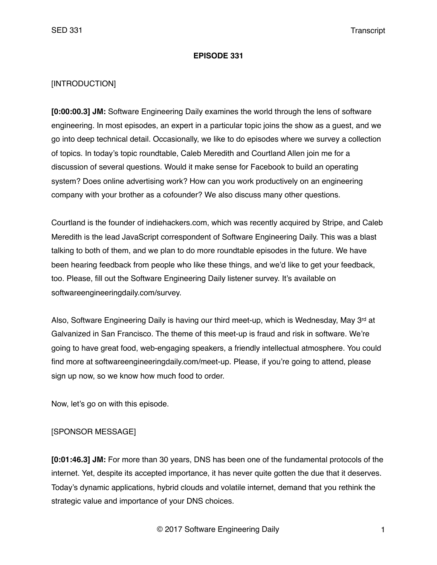#### **EPISODE 331**

#### [INTRODUCTION]

**[0:00:00.3] JM:** Software Engineering Daily examines the world through the lens of software engineering. In most episodes, an expert in a particular topic joins the show as a guest, and we go into deep technical detail. Occasionally, we like to do episodes where we survey a collection of topics. In today's topic roundtable, Caleb Meredith and Courtland Allen join me for a discussion of several questions. Would it make sense for Facebook to build an operating system? Does online advertising work? How can you work productively on an engineering company with your brother as a cofounder? We also discuss many other questions.

Courtland is the founder of indiehackers.com, which was recently acquired by Stripe, and Caleb Meredith is the lead JavaScript correspondent of Software Engineering Daily. This was a blast talking to both of them, and we plan to do more roundtable episodes in the future. We have been hearing feedback from people who like these things, and we'd like to get your feedback, too. Please, fill out the Software Engineering Daily listener survey. It's available on softwareengineeringdaily.com/survey.

Also, Software Engineering Daily is having our third meet-up, which is Wednesday, May 3<sup>rd</sup> at Galvanized in San Francisco. The theme of this meet-up is fraud and risk in software. We're going to have great food, web-engaging speakers, a friendly intellectual atmosphere. You could find more at softwareengineeringdaily.com/meet-up. Please, if you're going to attend, please sign up now, so we know how much food to order.

Now, let's go on with this episode.

## [SPONSOR MESSAGE]

**[0:01:46.3] JM:** For more than 30 years, DNS has been one of the fundamental protocols of the internet. Yet, despite its accepted importance, it has never quite gotten the due that it deserves. Today's dynamic applications, hybrid clouds and volatile internet, demand that you rethink the strategic value and importance of your DNS choices.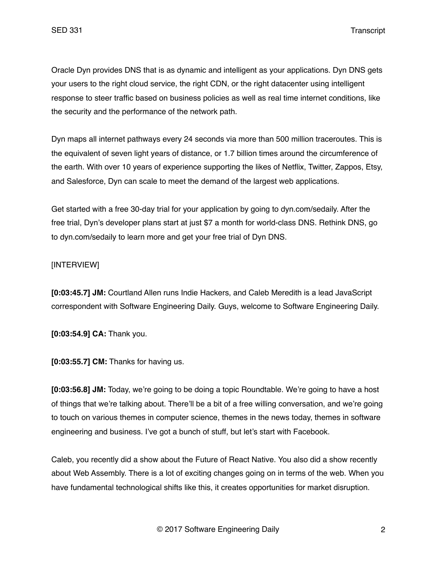Oracle Dyn provides DNS that is as dynamic and intelligent as your applications. Dyn DNS gets your users to the right cloud service, the right CDN, or the right datacenter using intelligent response to steer traffic based on business policies as well as real time internet conditions, like the security and the performance of the network path.

Dyn maps all internet pathways every 24 seconds via more than 500 million traceroutes. This is the equivalent of seven light years of distance, or 1.7 billion times around the circumference of the earth. With over 10 years of experience supporting the likes of Netflix, Twitter, Zappos, Etsy, and Salesforce, Dyn can scale to meet the demand of the largest web applications.

Get started with a free 30-day trial for your application by going to dyn.com/sedaily. After the free trial, Dyn's developer plans start at just \$7 a month for world-class DNS. Rethink DNS, go to dyn.com/sedaily to learn more and get your free trial of Dyn DNS.

# [INTERVIEW]

**[0:03:45.7] JM:** Courtland Allen runs Indie Hackers, and Caleb Meredith is a lead JavaScript correspondent with Software Engineering Daily. Guys, welcome to Software Engineering Daily.

**[0:03:54.9] CA:** Thank you.

**[0:03:55.7] CM:** Thanks for having us.

**[0:03:56.8] JM:** Today, we're going to be doing a topic Roundtable. We're going to have a host of things that we're talking about. There'll be a bit of a free willing conversation, and we're going to touch on various themes in computer science, themes in the news today, themes in software engineering and business. I've got a bunch of stuff, but let's start with Facebook.

Caleb, you recently did a show about the Future of React Native. You also did a show recently about Web Assembly. There is a lot of exciting changes going on in terms of the web. When you have fundamental technological shifts like this, it creates opportunities for market disruption.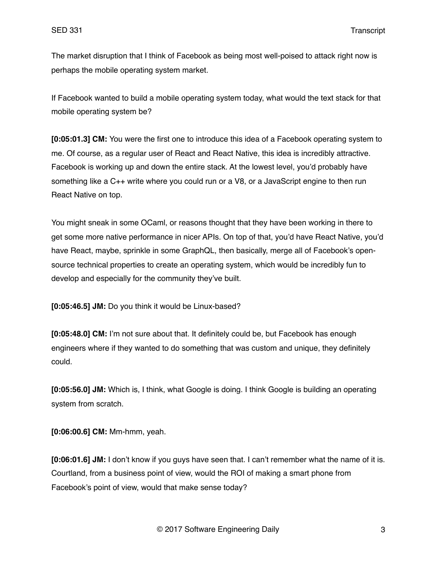The market disruption that I think of Facebook as being most well-poised to attack right now is perhaps the mobile operating system market.

If Facebook wanted to build a mobile operating system today, what would the text stack for that mobile operating system be?

**[0:05:01.3] CM:** You were the first one to introduce this idea of a Facebook operating system to me. Of course, as a regular user of React and React Native, this idea is incredibly attractive. Facebook is working up and down the entire stack. At the lowest level, you'd probably have something like a C++ write where you could run or a V8, or a JavaScript engine to then run React Native on top.

You might sneak in some OCaml, or reasons thought that they have been working in there to get some more native performance in nicer APIs. On top of that, you'd have React Native, you'd have React, maybe, sprinkle in some GraphQL, then basically, merge all of Facebook's opensource technical properties to create an operating system, which would be incredibly fun to develop and especially for the community they've built.

**[0:05:46.5] JM:** Do you think it would be Linux-based?

**[0:05:48.0] CM:** I'm not sure about that. It definitely could be, but Facebook has enough engineers where if they wanted to do something that was custom and unique, they definitely could.

**[0:05:56.0] JM:** Which is, I think, what Google is doing. I think Google is building an operating system from scratch.

**[0:06:00.6] CM:** Mm-hmm, yeah.

**[0:06:01.6] JM:** I don't know if you guys have seen that. I can't remember what the name of it is. Courtland, from a business point of view, would the ROI of making a smart phone from Facebook's point of view, would that make sense today?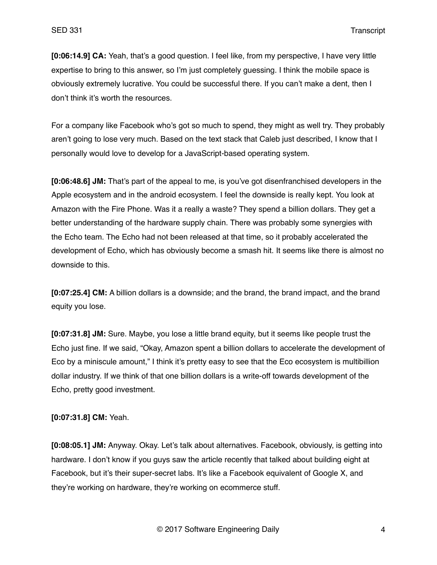**[0:06:14.9] CA:** Yeah, that's a good question. I feel like, from my perspective, I have very little expertise to bring to this answer, so I'm just completely guessing. I think the mobile space is obviously extremely lucrative. You could be successful there. If you can't make a dent, then I don't think it's worth the resources.

For a company like Facebook who's got so much to spend, they might as well try. They probably aren't going to lose very much. Based on the text stack that Caleb just described, I know that I personally would love to develop for a JavaScript-based operating system.

**[0:06:48.6] JM:** That's part of the appeal to me, is you've got disenfranchised developers in the Apple ecosystem and in the android ecosystem. I feel the downside is really kept. You look at Amazon with the Fire Phone. Was it a really a waste? They spend a billion dollars. They get a better understanding of the hardware supply chain. There was probably some synergies with the Echo team. The Echo had not been released at that time, so it probably accelerated the development of Echo, which has obviously become a smash hit. It seems like there is almost no downside to this.

**[0:07:25.4] CM:** A billion dollars is a downside; and the brand, the brand impact, and the brand equity you lose.

**[0:07:31.8] JM:** Sure. Maybe, you lose a little brand equity, but it seems like people trust the Echo just fine. If we said, "Okay, Amazon spent a billion dollars to accelerate the development of Eco by a miniscule amount," I think it's pretty easy to see that the Eco ecosystem is multibillion dollar industry. If we think of that one billion dollars is a write-off towards development of the Echo, pretty good investment.

**[0:07:31.8] CM:** Yeah.

**[0:08:05.1] JM:** Anyway. Okay. Let's talk about alternatives. Facebook, obviously, is getting into hardware. I don't know if you guys saw the article recently that talked about building eight at Facebook, but it's their super-secret labs. It's like a Facebook equivalent of Google X, and they're working on hardware, they're working on ecommerce stuff.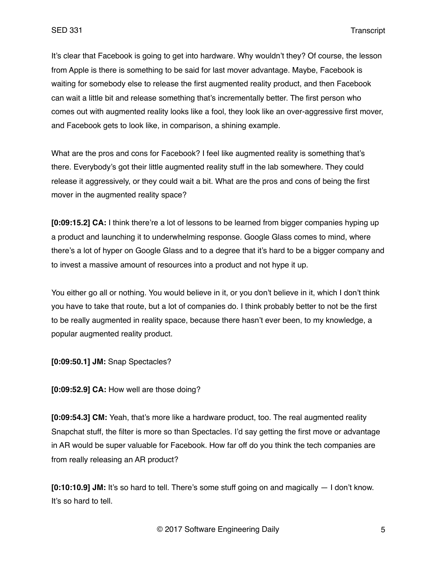It's clear that Facebook is going to get into hardware. Why wouldn't they? Of course, the lesson from Apple is there is something to be said for last mover advantage. Maybe, Facebook is waiting for somebody else to release the first augmented reality product, and then Facebook can wait a little bit and release something that's incrementally better. The first person who comes out with augmented reality looks like a fool, they look like an over-aggressive first mover, and Facebook gets to look like, in comparison, a shining example.

What are the pros and cons for Facebook? I feel like augmented reality is something that's there. Everybody's got their little augmented reality stuff in the lab somewhere. They could release it aggressively, or they could wait a bit. What are the pros and cons of being the first mover in the augmented reality space?

**[0:09:15.2] CA:** I think there're a lot of lessons to be learned from bigger companies hyping up a product and launching it to underwhelming response. Google Glass comes to mind, where there's a lot of hyper on Google Glass and to a degree that it's hard to be a bigger company and to invest a massive amount of resources into a product and not hype it up.

You either go all or nothing. You would believe in it, or you don't believe in it, which I don't think you have to take that route, but a lot of companies do. I think probably better to not be the first to be really augmented in reality space, because there hasn't ever been, to my knowledge, a popular augmented reality product.

**[0:09:50.1] JM:** Snap Spectacles?

**[0:09:52.9] CA:** How well are those doing?

**[0:09:54.3] CM:** Yeah, that's more like a hardware product, too. The real augmented reality Snapchat stuff, the filter is more so than Spectacles. I'd say getting the first move or advantage in AR would be super valuable for Facebook. How far off do you think the tech companies are from really releasing an AR product?

**[0:10:10.9] JM:** It's so hard to tell. There's some stuff going on and magically — I don't know. It's so hard to tell.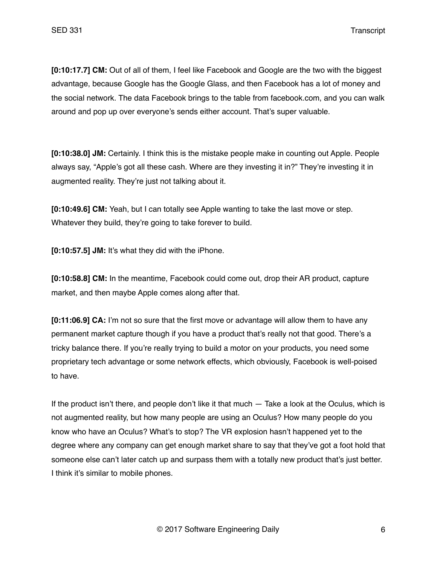**[0:10:17.7] CM:** Out of all of them, I feel like Facebook and Google are the two with the biggest advantage, because Google has the Google Glass, and then Facebook has a lot of money and the social network. The data Facebook brings to the table from facebook.com, and you can walk around and pop up over everyone's sends either account. That's super valuable.

**[0:10:38.0] JM:** Certainly. I think this is the mistake people make in counting out Apple. People always say, "Apple's got all these cash. Where are they investing it in?" They're investing it in augmented reality. They're just not talking about it.

**[0:10:49.6] CM:** Yeah, but I can totally see Apple wanting to take the last move or step. Whatever they build, they're going to take forever to build.

**[0:10:57.5] JM:** It's what they did with the iPhone.

**[0:10:58.8] CM:** In the meantime, Facebook could come out, drop their AR product, capture market, and then maybe Apple comes along after that.

**[0:11:06.9] CA:** I'm not so sure that the first move or advantage will allow them to have any permanent market capture though if you have a product that's really not that good. There's a tricky balance there. If you're really trying to build a motor on your products, you need some proprietary tech advantage or some network effects, which obviously, Facebook is well-poised to have.

If the product isn't there, and people don't like it that much — Take a look at the Oculus, which is not augmented reality, but how many people are using an Oculus? How many people do you know who have an Oculus? What's to stop? The VR explosion hasn't happened yet to the degree where any company can get enough market share to say that they've got a foot hold that someone else can't later catch up and surpass them with a totally new product that's just better. I think it's similar to mobile phones.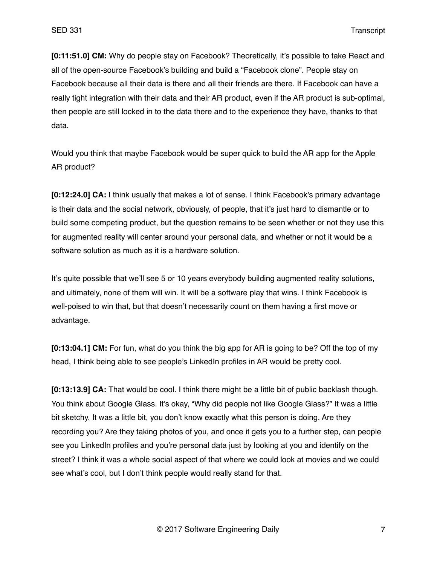**[0:11:51.0] CM:** Why do people stay on Facebook? Theoretically, it's possible to take React and all of the open-source Facebook's building and build a "Facebook clone". People stay on Facebook because all their data is there and all their friends are there. If Facebook can have a really tight integration with their data and their AR product, even if the AR product is sub-optimal, then people are still locked in to the data there and to the experience they have, thanks to that data.

Would you think that maybe Facebook would be super quick to build the AR app for the Apple AR product?

**[0:12:24.0] CA:** I think usually that makes a lot of sense. I think Facebook's primary advantage is their data and the social network, obviously, of people, that it's just hard to dismantle or to build some competing product, but the question remains to be seen whether or not they use this for augmented reality will center around your personal data, and whether or not it would be a software solution as much as it is a hardware solution.

It's quite possible that we'll see 5 or 10 years everybody building augmented reality solutions, and ultimately, none of them will win. It will be a software play that wins. I think Facebook is well-poised to win that, but that doesn't necessarily count on them having a first move or advantage.

**[0:13:04.1] CM:** For fun, what do you think the big app for AR is going to be? Off the top of my head, I think being able to see people's LinkedIn profiles in AR would be pretty cool.

**[0:13:13.9] CA:** That would be cool. I think there might be a little bit of public backlash though. You think about Google Glass. It's okay, "Why did people not like Google Glass?" It was a little bit sketchy. It was a little bit, you don't know exactly what this person is doing. Are they recording you? Are they taking photos of you, and once it gets you to a further step, can people see you LinkedIn profiles and you're personal data just by looking at you and identify on the street? I think it was a whole social aspect of that where we could look at movies and we could see what's cool, but I don't think people would really stand for that.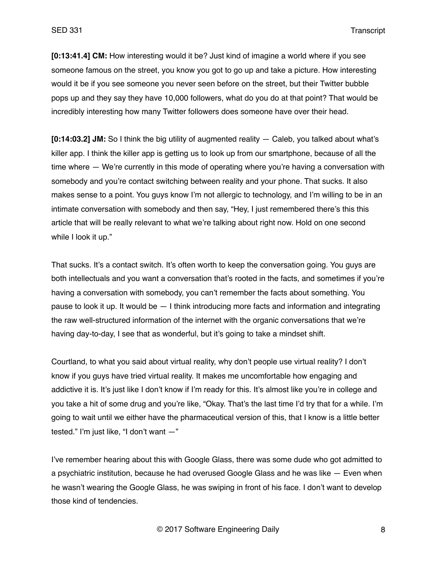**[0:13:41.4] CM:** How interesting would it be? Just kind of imagine a world where if you see someone famous on the street, you know you got to go up and take a picture. How interesting would it be if you see someone you never seen before on the street, but their Twitter bubble pops up and they say they have 10,000 followers, what do you do at that point? That would be incredibly interesting how many Twitter followers does someone have over their head.

**[0:14:03.2] JM:** So I think the big utility of augmented reality — Caleb, you talked about what's killer app. I think the killer app is getting us to look up from our smartphone, because of all the time where  $-$  We're currently in this mode of operating where you're having a conversation with somebody and you're contact switching between reality and your phone. That sucks. It also makes sense to a point. You guys know I'm not allergic to technology, and I'm willing to be in an intimate conversation with somebody and then say, "Hey, I just remembered there's this this article that will be really relevant to what we're talking about right now. Hold on one second while I look it up."

That sucks. It's a contact switch. It's often worth to keep the conversation going. You guys are both intellectuals and you want a conversation that's rooted in the facts, and sometimes if you're having a conversation with somebody, you can't remember the facts about something. You pause to look it up. It would be — I think introducing more facts and information and integrating the raw well-structured information of the internet with the organic conversations that we're having day-to-day, I see that as wonderful, but it's going to take a mindset shift.

Courtland, to what you said about virtual reality, why don't people use virtual reality? I don't know if you guys have tried virtual reality. It makes me uncomfortable how engaging and addictive it is. It's just like I don't know if I'm ready for this. It's almost like you're in college and you take a hit of some drug and you're like, "Okay. That's the last time I'd try that for a while. I'm going to wait until we either have the pharmaceutical version of this, that I know is a little better tested." I'm just like, "I don't want —"

I've remember hearing about this with Google Glass, there was some dude who got admitted to a psychiatric institution, because he had overused Google Glass and he was like — Even when he wasn't wearing the Google Glass, he was swiping in front of his face. I don't want to develop those kind of tendencies.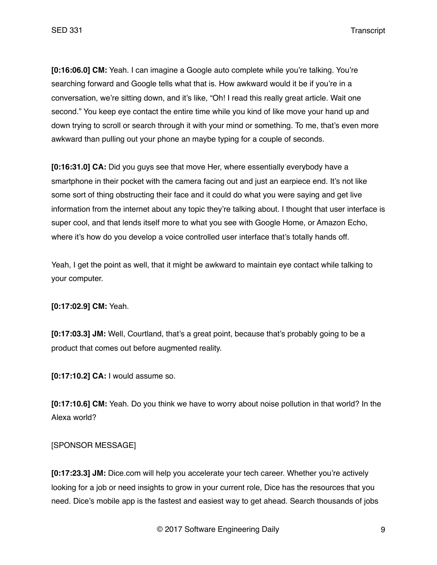**[0:16:06.0] CM:** Yeah. I can imagine a Google auto complete while you're talking. You're searching forward and Google tells what that is. How awkward would it be if you're in a conversation, we're sitting down, and it's like, "Oh! I read this really great article. Wait one second." You keep eye contact the entire time while you kind of like move your hand up and down trying to scroll or search through it with your mind or something. To me, that's even more awkward than pulling out your phone an maybe typing for a couple of seconds.

**[0:16:31.0] CA:** Did you guys see that move Her, where essentially everybody have a smartphone in their pocket with the camera facing out and just an earpiece end. It's not like some sort of thing obstructing their face and it could do what you were saying and get live information from the internet about any topic they're talking about. I thought that user interface is super cool, and that lends itself more to what you see with Google Home, or Amazon Echo, where it's how do you develop a voice controlled user interface that's totally hands off.

Yeah, I get the point as well, that it might be awkward to maintain eye contact while talking to your computer.

## **[0:17:02.9] CM:** Yeah.

**[0:17:03.3] JM:** Well, Courtland, that's a great point, because that's probably going to be a product that comes out before augmented reality.

**[0:17:10.2] CA:** I would assume so.

**[0:17:10.6] CM:** Yeah. Do you think we have to worry about noise pollution in that world? In the Alexa world?

## [SPONSOR MESSAGE]

**[0:17:23.3] JM:** Dice.com will help you accelerate your tech career. Whether you're actively looking for a job or need insights to grow in your current role. Dice has the resources that you need. Dice's mobile app is the fastest and easiest way to get ahead. Search thousands of jobs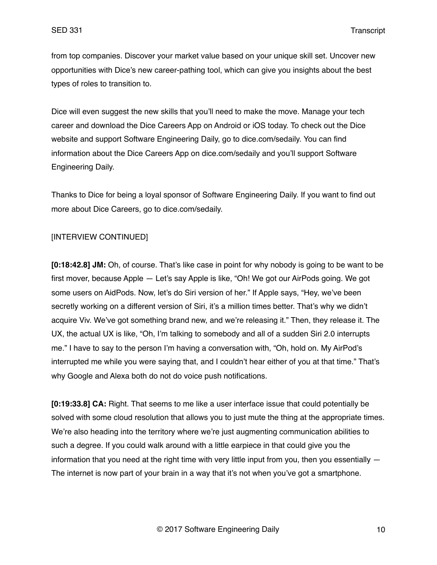from top companies. Discover your market value based on your unique skill set. Uncover new opportunities with Dice's new career-pathing tool, which can give you insights about the best types of roles to transition to.

Dice will even suggest the new skills that you'll need to make the move. Manage your tech career and download the Dice Careers App on Android or iOS today. To check out the Dice website and support Software Engineering Daily, go to dice.com/sedaily. You can find information about the Dice Careers App on dice.com/sedaily and you'll support Software Engineering Daily.

Thanks to Dice for being a loyal sponsor of Software Engineering Daily. If you want to find out more about Dice Careers, go to dice.com/sedaily.

# [INTERVIEW CONTINUED]

**[0:18:42.8] JM:** Oh, of course. That's like case in point for why nobody is going to be want to be first mover, because Apple — Let's say Apple is like, "Oh! We got our AirPods going. We got some users on AidPods. Now, let's do Siri version of her." If Apple says, "Hey, we've been secretly working on a different version of Siri, it's a million times better. That's why we didn't acquire Viv. We've got something brand new, and we're releasing it." Then, they release it. The UX, the actual UX is like, "Oh, I'm talking to somebody and all of a sudden Siri 2.0 interrupts me." I have to say to the person I'm having a conversation with, "Oh, hold on. My AirPod's interrupted me while you were saying that, and I couldn't hear either of you at that time." That's why Google and Alexa both do not do voice push notifications.

**[0:19:33.8] CA:** Right. That seems to me like a user interface issue that could potentially be solved with some cloud resolution that allows you to just mute the thing at the appropriate times. We're also heading into the territory where we're just augmenting communication abilities to such a degree. If you could walk around with a little earpiece in that could give you the information that you need at the right time with very little input from you, then you essentially — The internet is now part of your brain in a way that it's not when you've got a smartphone.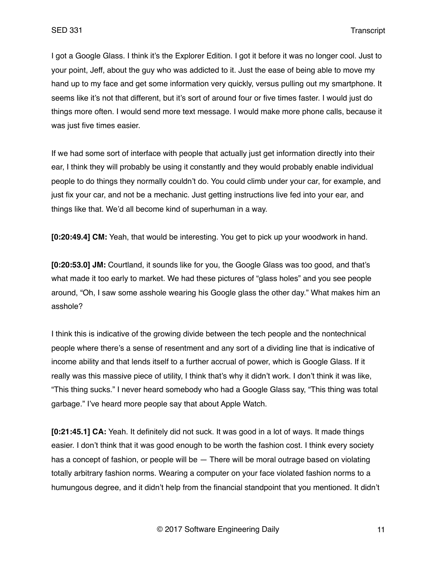I got a Google Glass. I think it's the Explorer Edition. I got it before it was no longer cool. Just to your point, Jeff, about the guy who was addicted to it. Just the ease of being able to move my hand up to my face and get some information very quickly, versus pulling out my smartphone. It seems like it's not that different, but it's sort of around four or five times faster. I would just do things more often. I would send more text message. I would make more phone calls, because it was just five times easier.

If we had some sort of interface with people that actually just get information directly into their ear, I think they will probably be using it constantly and they would probably enable individual people to do things they normally couldn't do. You could climb under your car, for example, and just fix your car, and not be a mechanic. Just getting instructions live fed into your ear, and things like that. We'd all become kind of superhuman in a way.

**[0:20:49.4] CM:** Yeah, that would be interesting. You get to pick up your woodwork in hand.

**[0:20:53.0] JM:** Courtland, it sounds like for you, the Google Glass was too good, and that's what made it too early to market. We had these pictures of "glass holes" and you see people around, "Oh, I saw some asshole wearing his Google glass the other day." What makes him an asshole?

I think this is indicative of the growing divide between the tech people and the nontechnical people where there's a sense of resentment and any sort of a dividing line that is indicative of income ability and that lends itself to a further accrual of power, which is Google Glass. If it really was this massive piece of utility, I think that's why it didn't work. I don't think it was like, "This thing sucks." I never heard somebody who had a Google Glass say, "This thing was total garbage." I've heard more people say that about Apple Watch.

**[0:21:45.1] CA:** Yeah. It definitely did not suck. It was good in a lot of ways. It made things easier. I don't think that it was good enough to be worth the fashion cost. I think every society has a concept of fashion, or people will be — There will be moral outrage based on violating totally arbitrary fashion norms. Wearing a computer on your face violated fashion norms to a humungous degree, and it didn't help from the financial standpoint that you mentioned. It didn't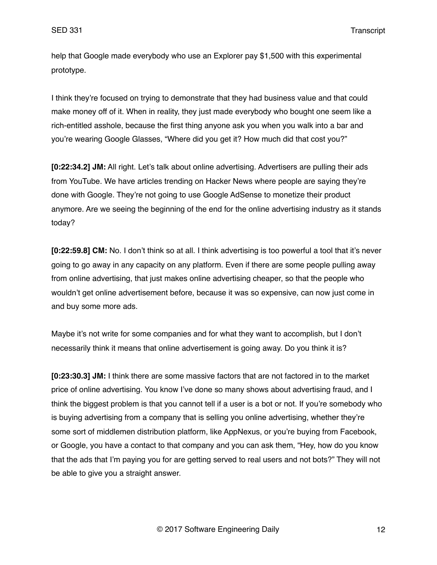help that Google made everybody who use an Explorer pay \$1,500 with this experimental prototype.

I think they're focused on trying to demonstrate that they had business value and that could make money off of it. When in reality, they just made everybody who bought one seem like a rich-entitled asshole, because the first thing anyone ask you when you walk into a bar and you're wearing Google Glasses, "Where did you get it? How much did that cost you?"

**[0:22:34.2] JM:** All right. Let's talk about online advertising. Advertisers are pulling their ads from YouTube. We have articles trending on Hacker News where people are saying they're done with Google. They're not going to use Google AdSense to monetize their product anymore. Are we seeing the beginning of the end for the online advertising industry as it stands today?

**[0:22:59.8] CM:** No. I don't think so at all. I think advertising is too powerful a tool that it's never going to go away in any capacity on any platform. Even if there are some people pulling away from online advertising, that just makes online advertising cheaper, so that the people who wouldn't get online advertisement before, because it was so expensive, can now just come in and buy some more ads.

Maybe it's not write for some companies and for what they want to accomplish, but I don't necessarily think it means that online advertisement is going away. Do you think it is?

**[0:23:30.3] JM:** I think there are some massive factors that are not factored in to the market price of online advertising. You know I've done so many shows about advertising fraud, and I think the biggest problem is that you cannot tell if a user is a bot or not. If you're somebody who is buying advertising from a company that is selling you online advertising, whether they're some sort of middlemen distribution platform, like AppNexus, or you're buying from Facebook, or Google, you have a contact to that company and you can ask them, "Hey, how do you know that the ads that I'm paying you for are getting served to real users and not bots?" They will not be able to give you a straight answer.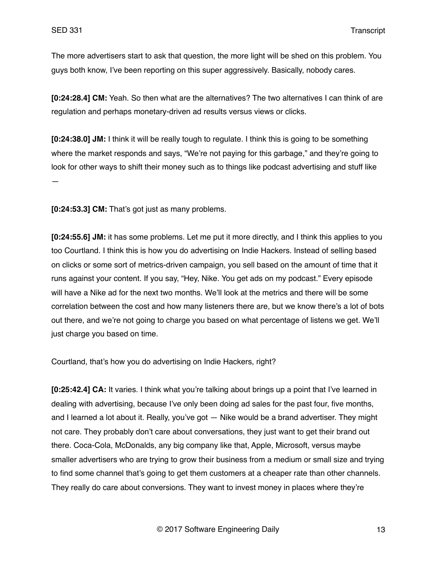The more advertisers start to ask that question, the more light will be shed on this problem. You guys both know, I've been reporting on this super aggressively. Basically, nobody cares.

**[0:24:28.4] CM:** Yeah. So then what are the alternatives? The two alternatives I can think of are regulation and perhaps monetary-driven ad results versus views or clicks.

**[0:24:38.0] JM:** I think it will be really tough to regulate. I think this is going to be something where the market responds and says, "We're not paying for this garbage," and they're going to look for other ways to shift their money such as to things like podcast advertising and stuff like —

**[0:24:53.3] CM:** That's got just as many problems.

**[0:24:55.6] JM:** it has some problems. Let me put it more directly, and I think this applies to you too Courtland. I think this is how you do advertising on Indie Hackers. Instead of selling based on clicks or some sort of metrics-driven campaign, you sell based on the amount of time that it runs against your content. If you say, "Hey, Nike. You get ads on my podcast." Every episode will have a Nike ad for the next two months. We'll look at the metrics and there will be some correlation between the cost and how many listeners there are, but we know there's a lot of bots out there, and we're not going to charge you based on what percentage of listens we get. We'll just charge you based on time.

Courtland, that's how you do advertising on Indie Hackers, right?

**[0:25:42.4] CA:** It varies. I think what you're talking about brings up a point that I've learned in dealing with advertising, because I've only been doing ad sales for the past four, five months, and I learned a lot about it. Really, you've got — Nike would be a brand advertiser. They might not care. They probably don't care about conversations, they just want to get their brand out there. Coca-Cola, McDonalds, any big company like that, Apple, Microsoft, versus maybe smaller advertisers who are trying to grow their business from a medium or small size and trying to find some channel that's going to get them customers at a cheaper rate than other channels. They really do care about conversions. They want to invest money in places where they're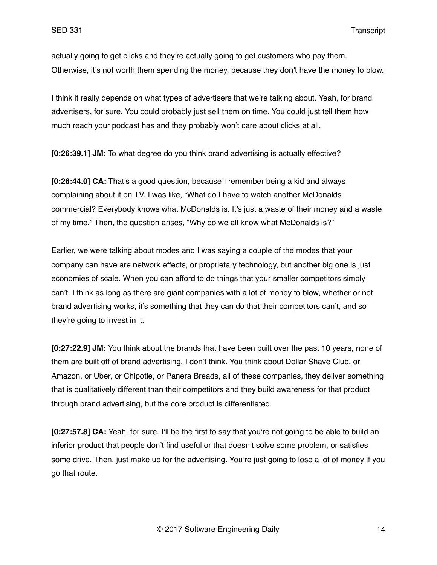actually going to get clicks and they're actually going to get customers who pay them. Otherwise, it's not worth them spending the money, because they don't have the money to blow.

I think it really depends on what types of advertisers that we're talking about. Yeah, for brand advertisers, for sure. You could probably just sell them on time. You could just tell them how much reach your podcast has and they probably won't care about clicks at all.

**[0:26:39.1] JM:** To what degree do you think brand advertising is actually effective?

**[0:26:44.0] CA:** That's a good question, because I remember being a kid and always complaining about it on TV. I was like, "What do I have to watch another McDonalds commercial? Everybody knows what McDonalds is. It's just a waste of their money and a waste of my time." Then, the question arises, "Why do we all know what McDonalds is?"

Earlier, we were talking about modes and I was saying a couple of the modes that your company can have are network effects, or proprietary technology, but another big one is just economies of scale. When you can afford to do things that your smaller competitors simply can't. I think as long as there are giant companies with a lot of money to blow, whether or not brand advertising works, it's something that they can do that their competitors can't, and so they're going to invest in it.

**[0:27:22.9] JM:** You think about the brands that have been built over the past 10 years, none of them are built off of brand advertising, I don't think. You think about Dollar Shave Club, or Amazon, or Uber, or Chipotle, or Panera Breads, all of these companies, they deliver something that is qualitatively different than their competitors and they build awareness for that product through brand advertising, but the core product is differentiated.

**[0:27:57.8] CA:** Yeah, for sure. I'll be the first to say that you're not going to be able to build an inferior product that people don't find useful or that doesn't solve some problem, or satisfies some drive. Then, just make up for the advertising. You're just going to lose a lot of money if you go that route.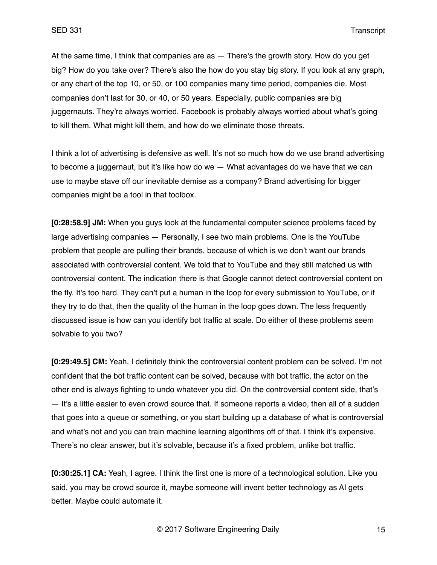At the same time, I think that companies are as  $-$  There's the growth story. How do you get big? How do you take over? There's also the how do you stay big story. If you look at any graph, or any chart of the top 10, or 50, or 100 companies many time period, companies die. Most companies don't last for 30, or 40, or 50 years. Especially, public companies are big juggernauts. They're always worried. Facebook is probably always worried about what's going to kill them. What might kill them, and how do we eliminate those threats.

I think a lot of advertising is defensive as well. It's not so much how do we use brand advertising to become a juggernaut, but it's like how do we — What advantages do we have that we can use to maybe stave off our inevitable demise as a company? Brand advertising for bigger companies might be a tool in that toolbox.

**[0:28:58.9] JM:** When you guys look at the fundamental computer science problems faced by large advertising companies — Personally, I see two main problems. One is the YouTube problem that people are pulling their brands, because of which is we don't want our brands associated with controversial content. We told that to YouTube and they still matched us with controversial content. The indication there is that Google cannot detect controversial content on the fly. It's too hard. They can't put a human in the loop for every submission to YouTube, or if they try to do that, then the quality of the human in the loop goes down. The less frequently discussed issue is how can you identify bot traffic at scale. Do either of these problems seem solvable to you two?

**[0:29:49.5] CM:** Yeah, I definitely think the controversial content problem can be solved. I'm not confident that the bot traffic content can be solved, because with bot traffic, the actor on the other end is always fighting to undo whatever you did. On the controversial content side, that's — It's a little easier to even crowd source that. If someone reports a video, then all of a sudden that goes into a queue or something, or you start building up a database of what is controversial and what's not and you can train machine learning algorithms off of that. I think it's expensive. There's no clear answer, but it's solvable, because it's a fixed problem, unlike bot traffic.

**[0:30:25.1] CA:** Yeah, I agree. I think the first one is more of a technological solution. Like you said, you may be crowd source it, maybe someone will invent better technology as AI gets better. Maybe could automate it.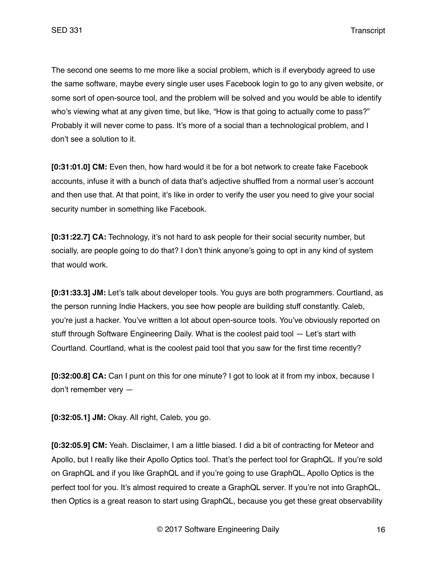The second one seems to me more like a social problem, which is if everybody agreed to use the same software, maybe every single user uses Facebook login to go to any given website, or some sort of open-source tool, and the problem will be solved and you would be able to identify who's viewing what at any given time, but like, "How is that going to actually come to pass?" Probably it will never come to pass. It's more of a social than a technological problem, and I don't see a solution to it.

**[0:31:01.0] CM:** Even then, how hard would it be for a bot network to create fake Facebook accounts, infuse it with a bunch of data that's adjective shuffled from a normal user's account and then use that. At that point, it's like in order to verify the user you need to give your social security number in something like Facebook.

**[0:31:22.7] CA:** Technology, it's not hard to ask people for their social security number, but socially, are people going to do that? I don't think anyone's going to opt in any kind of system that would work.

**[0:31:33.3] JM:** Let's talk about developer tools. You guys are both programmers. Courtland, as the person running Indie Hackers, you see how people are building stuff constantly. Caleb, you're just a hacker. You've written a lot about open-source tools. You've obviously reported on stuff through Software Engineering Daily. What is the coolest paid tool — Let's start with Courtland. Courtland, what is the coolest paid tool that you saw for the first time recently?

**[0:32:00.8] CA:** Can I punt on this for one minute? I got to look at it from my inbox, because I don't remember very —

**[0:32:05.1] JM:** Okay. All right, Caleb, you go.

**[0:32:05.9] CM:** Yeah. Disclaimer, I am a little biased. I did a bit of contracting for Meteor and Apollo, but I really like their Apollo Optics tool. That's the perfect tool for GraphQL. If you're sold on GraphQL and if you like GraphQL and if you're going to use GraphQL, Apollo Optics is the perfect tool for you. It's almost required to create a GraphQL server. If you're not into GraphQL, then Optics is a great reason to start using GraphQL, because you get these great observability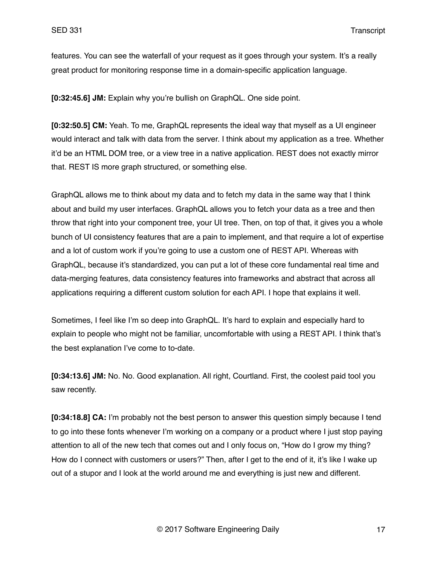features. You can see the waterfall of your request as it goes through your system. It's a really great product for monitoring response time in a domain-specific application language.

**[0:32:45.6] JM:** Explain why you're bullish on GraphQL. One side point.

**[0:32:50.5] CM:** Yeah. To me, GraphQL represents the ideal way that myself as a UI engineer would interact and talk with data from the server. I think about my application as a tree. Whether it'd be an HTML DOM tree, or a view tree in a native application. REST does not exactly mirror that. REST IS more graph structured, or something else.

GraphQL allows me to think about my data and to fetch my data in the same way that I think about and build my user interfaces. GraphQL allows you to fetch your data as a tree and then throw that right into your component tree, your UI tree. Then, on top of that, it gives you a whole bunch of UI consistency features that are a pain to implement, and that require a lot of expertise and a lot of custom work if you're going to use a custom one of REST API. Whereas with GraphQL, because it's standardized, you can put a lot of these core fundamental real time and data-merging features, data consistency features into frameworks and abstract that across all applications requiring a different custom solution for each API. I hope that explains it well.

Sometimes, I feel like I'm so deep into GraphQL. It's hard to explain and especially hard to explain to people who might not be familiar, uncomfortable with using a REST API. I think that's the best explanation I've come to to-date.

**[0:34:13.6] JM:** No. No. Good explanation. All right, Courtland. First, the coolest paid tool you saw recently.

**[0:34:18.8] CA:** I'm probably not the best person to answer this question simply because I tend to go into these fonts whenever I'm working on a company or a product where I just stop paying attention to all of the new tech that comes out and I only focus on, "How do I grow my thing? How do I connect with customers or users?" Then, after I get to the end of it, it's like I wake up out of a stupor and I look at the world around me and everything is just new and different.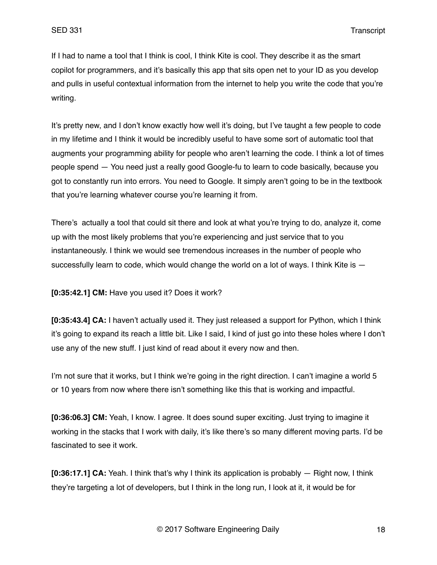If I had to name a tool that I think is cool, I think Kite is cool. They describe it as the smart copilot for programmers, and it's basically this app that sits open net to your ID as you develop and pulls in useful contextual information from the internet to help you write the code that you're writing.

It's pretty new, and I don't know exactly how well it's doing, but I've taught a few people to code in my lifetime and I think it would be incredibly useful to have some sort of automatic tool that augments your programming ability for people who aren't learning the code. I think a lot of times people spend — You need just a really good Google-fu to learn to code basically, because you got to constantly run into errors. You need to Google. It simply aren't going to be in the textbook that you're learning whatever course you're learning it from.

There's actually a tool that could sit there and look at what you're trying to do, analyze it, come up with the most likely problems that you're experiencing and just service that to you instantaneously. I think we would see tremendous increases in the number of people who successfully learn to code, which would change the world on a lot of ways. I think Kite is  $-$ 

**[0:35:42.1] CM:** Have you used it? Does it work?

**[0:35:43.4] CA:** I haven't actually used it. They just released a support for Python, which I think it's going to expand its reach a little bit. Like I said, I kind of just go into these holes where I don't use any of the new stuff. I just kind of read about it every now and then.

I'm not sure that it works, but I think we're going in the right direction. I can't imagine a world 5 or 10 years from now where there isn't something like this that is working and impactful.

**[0:36:06.3] CM:** Yeah, I know. I agree. It does sound super exciting. Just trying to imagine it working in the stacks that I work with daily, it's like there's so many different moving parts. I'd be fascinated to see it work.

**[0:36:17.1] CA:** Yeah. I think that's why I think its application is probably — Right now, I think they're targeting a lot of developers, but I think in the long run, I look at it, it would be for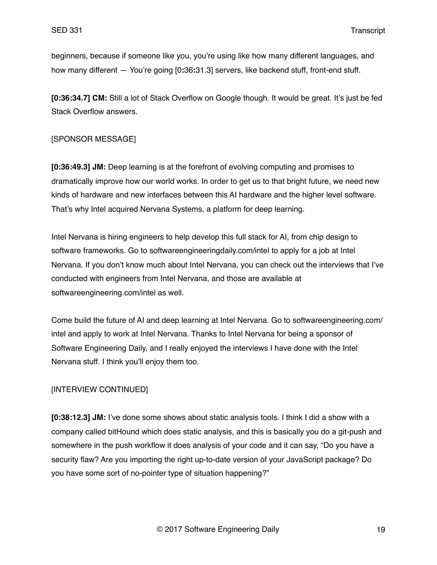beginners, because if someone like you, you're using like how many different languages, and how many different — You're going [0**:**36**:**31.3] servers, like backend stuff, front-end stuff.

**[0:36:34.7] CM:** Still a lot of Stack Overflow on Google though. It would be great. It's just be fed Stack Overflow answers.

## [SPONSOR MESSAGE]

**[0:36:49.3] JM:** Deep learning is at the forefront of evolving computing and promises to dramatically improve how our world works. In order to get us to that bright future, we need new kinds of hardware and new interfaces between this AI hardware and the higher level software. That's why Intel acquired Nervana Systems, a platform for deep learning.

Intel Nervana is hiring engineers to help develop this full stack for AI, from chip design to software frameworks. Go to softwareengineeringdaily.com/intel to apply for a job at Intel Nervana. If you don't know much about Intel Nervana, you can check out the interviews that I've conducted with engineers from Intel Nervana, and those are available at softwareengineering.com/intel as well.

Come build the future of AI and deep learning at Intel Nervana. Go to softwareengineering.com/ intel and apply to work at Intel Nervana. Thanks to Intel Nervana for being a sponsor of Software Engineering Daily, and I really enjoyed the interviews I have done with the Intel Nervana stuff. I think you'll enjoy them too.

# [INTERVIEW CONTINUED]

**[0:38:12.3] JM:** I've done some shows about static analysis tools. I think I did a show with a company called bitHound which does static analysis, and this is basically you do a git-push and somewhere in the push workflow it does analysis of your code and it can say, "Do you have a security flaw? Are you importing the right up-to-date version of your JavaScript package? Do you have some sort of no-pointer type of situation happening?"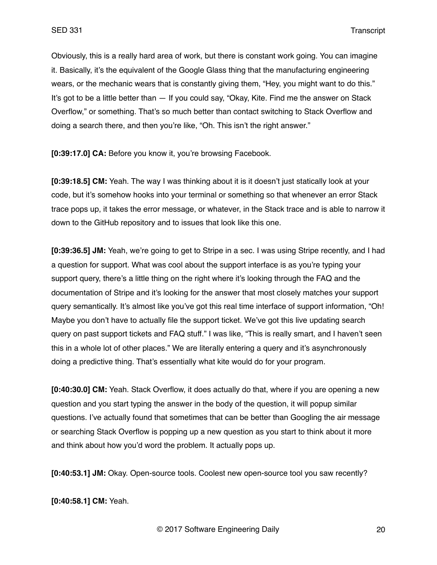Obviously, this is a really hard area of work, but there is constant work going. You can imagine it. Basically, it's the equivalent of the Google Glass thing that the manufacturing engineering wears, or the mechanic wears that is constantly giving them, "Hey, you might want to do this." It's got to be a little better than — If you could say, "Okay, Kite. Find me the answer on Stack Overflow," or something. That's so much better than contact switching to Stack Overflow and doing a search there, and then you're like, "Oh. This isn't the right answer."

**[0:39:17.0] CA:** Before you know it, you're browsing Facebook.

**[0:39:18.5] CM:** Yeah. The way I was thinking about it is it doesn't just statically look at your code, but it's somehow hooks into your terminal or something so that whenever an error Stack trace pops up, it takes the error message, or whatever, in the Stack trace and is able to narrow it down to the GitHub repository and to issues that look like this one.

**[0:39:36.5] JM:** Yeah, we're going to get to Stripe in a sec. I was using Stripe recently, and I had a question for support. What was cool about the support interface is as you're typing your support query, there's a little thing on the right where it's looking through the FAQ and the documentation of Stripe and it's looking for the answer that most closely matches your support query semantically. It's almost like you've got this real time interface of support information, "Oh! Maybe you don't have to actually file the support ticket. We've got this live updating search query on past support tickets and FAQ stuff." I was like, "This is really smart, and I haven't seen this in a whole lot of other places." We are literally entering a query and it's asynchronously doing a predictive thing. That's essentially what kite would do for your program.

**[0:40:30.0] CM:** Yeah. Stack Overflow, it does actually do that, where if you are opening a new question and you start typing the answer in the body of the question, it will popup similar questions. I've actually found that sometimes that can be better than Googling the air message or searching Stack Overflow is popping up a new question as you start to think about it more and think about how you'd word the problem. It actually pops up.

**[0:40:53.1] JM:** Okay. Open-source tools. Coolest new open-source tool you saw recently?

**[0:40:58.1] CM:** Yeah.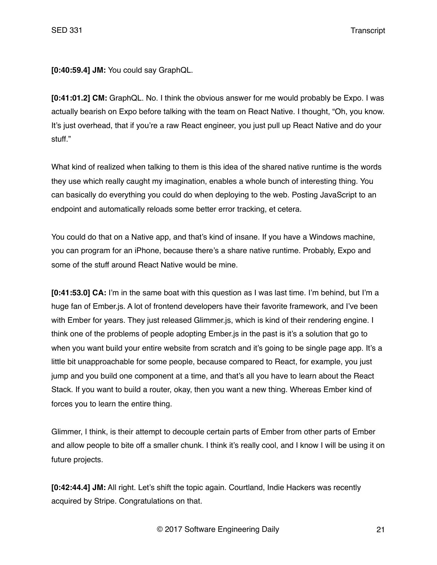**[0:40:59.4] JM:** You could say GraphQL.

**[0:41:01.2] CM:** GraphQL. No. I think the obvious answer for me would probably be Expo. I was actually bearish on Expo before talking with the team on React Native. I thought, "Oh, you know. It's just overhead, that if you're a raw React engineer, you just pull up React Native and do your stuff."

What kind of realized when talking to them is this idea of the shared native runtime is the words they use which really caught my imagination, enables a whole bunch of interesting thing. You can basically do everything you could do when deploying to the web. Posting JavaScript to an endpoint and automatically reloads some better error tracking, et cetera.

You could do that on a Native app, and that's kind of insane. If you have a Windows machine, you can program for an iPhone, because there's a share native runtime. Probably, Expo and some of the stuff around React Native would be mine.

**[0:41:53.0] CA:** I'm in the same boat with this question as I was last time. I'm behind, but I'm a huge fan of Ember.js. A lot of frontend developers have their favorite framework, and I've been with Ember for years. They just released Glimmer.js, which is kind of their rendering engine. I think one of the problems of people adopting Ember.js in the past is it's a solution that go to when you want build your entire website from scratch and it's going to be single page app. It's a little bit unapproachable for some people, because compared to React, for example, you just jump and you build one component at a time, and that's all you have to learn about the React Stack. If you want to build a router, okay, then you want a new thing. Whereas Ember kind of forces you to learn the entire thing.

Glimmer, I think, is their attempt to decouple certain parts of Ember from other parts of Ember and allow people to bite off a smaller chunk. I think it's really cool, and I know I will be using it on future projects.

**[0:42:44.4] JM:** All right. Let's shift the topic again. Courtland, Indie Hackers was recently acquired by Stripe. Congratulations on that.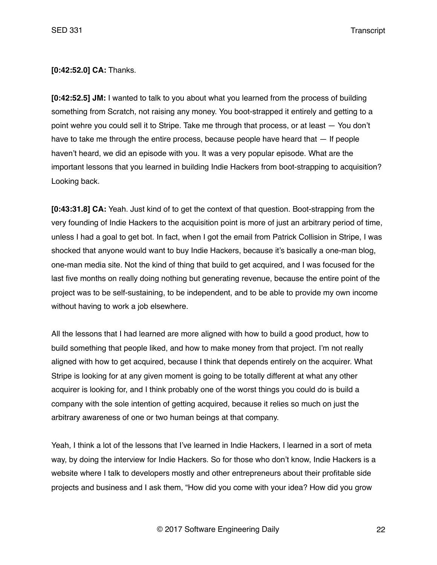**[0:42:52.0] CA:** Thanks.

**[0:42:52.5] JM:** I wanted to talk to you about what you learned from the process of building something from Scratch, not raising any money. You boot-strapped it entirely and getting to a point wehre you could sell it to Stripe. Take me through that process, or at least — You don't have to take me through the entire process, because people have heard that  $-$  If people haven't heard, we did an episode with you. It was a very popular episode. What are the important lessons that you learned in building Indie Hackers from boot-strapping to acquisition? Looking back.

**[0:43:31.8] CA:** Yeah. Just kind of to get the context of that question. Boot-strapping from the very founding of Indie Hackers to the acquisition point is more of just an arbitrary period of time, unless I had a goal to get bot. In fact, when I got the email from Patrick Collision in Stripe, I was shocked that anyone would want to buy Indie Hackers, because it's basically a one-man blog, one-man media site. Not the kind of thing that build to get acquired, and I was focused for the last five months on really doing nothing but generating revenue, because the entire point of the project was to be self-sustaining, to be independent, and to be able to provide my own income without having to work a job elsewhere.

All the lessons that I had learned are more aligned with how to build a good product, how to build something that people liked, and how to make money from that project. I'm not really aligned with how to get acquired, because I think that depends entirely on the acquirer. What Stripe is looking for at any given moment is going to be totally different at what any other acquirer is looking for, and I think probably one of the worst things you could do is build a company with the sole intention of getting acquired, because it relies so much on just the arbitrary awareness of one or two human beings at that company.

Yeah, I think a lot of the lessons that I've learned in Indie Hackers, I learned in a sort of meta way, by doing the interview for Indie Hackers. So for those who don't know, Indie Hackers is a website where I talk to developers mostly and other entrepreneurs about their profitable side projects and business and I ask them, "How did you come with your idea? How did you grow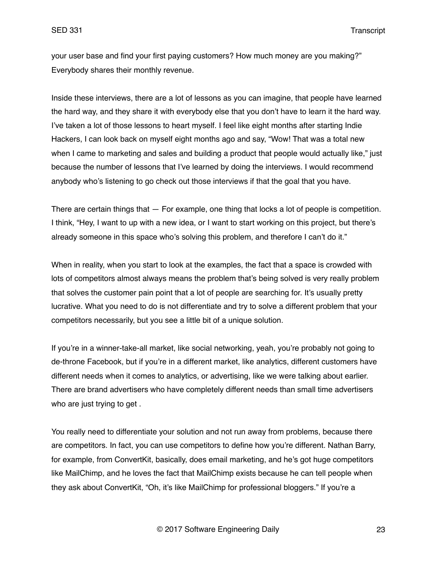your user base and find your first paying customers? How much money are you making?" Everybody shares their monthly revenue.

Inside these interviews, there are a lot of lessons as you can imagine, that people have learned the hard way, and they share it with everybody else that you don't have to learn it the hard way. I've taken a lot of those lessons to heart myself. I feel like eight months after starting Indie Hackers, I can look back on myself eight months ago and say, "Wow! That was a total new when I came to marketing and sales and building a product that people would actually like," just because the number of lessons that I've learned by doing the interviews. I would recommend anybody who's listening to go check out those interviews if that the goal that you have.

There are certain things that — For example, one thing that locks a lot of people is competition. I think, "Hey, I want to up with a new idea, or I want to start working on this project, but there's already someone in this space who's solving this problem, and therefore I can't do it."

When in reality, when you start to look at the examples, the fact that a space is crowded with lots of competitors almost always means the problem that's being solved is very really problem that solves the customer pain point that a lot of people are searching for. It's usually pretty lucrative. What you need to do is not differentiate and try to solve a different problem that your competitors necessarily, but you see a little bit of a unique solution.

If you're in a winner-take-all market, like social networking, yeah, you're probably not going to de-throne Facebook, but if you're in a different market, like analytics, different customers have different needs when it comes to analytics, or advertising, like we were talking about earlier. There are brand advertisers who have completely different needs than small time advertisers who are just trying to get .

You really need to differentiate your solution and not run away from problems, because there are competitors. In fact, you can use competitors to define how you're different. Nathan Barry, for example, from ConvertKit, basically, does email marketing, and he's got huge competitors like MailChimp, and he loves the fact that MailChimp exists because he can tell people when they ask about ConvertKit, "Oh, it's like MailChimp for professional bloggers." If you're a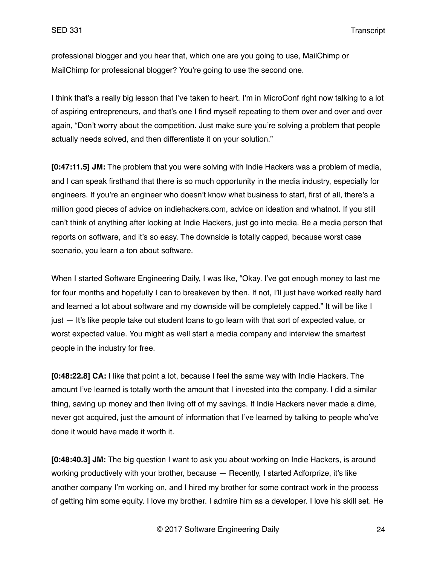professional blogger and you hear that, which one are you going to use, MailChimp or MailChimp for professional blogger? You're going to use the second one.

I think that's a really big lesson that I've taken to heart. I'm in MicroConf right now talking to a lot of aspiring entrepreneurs, and that's one I find myself repeating to them over and over and over again, "Don't worry about the competition. Just make sure you're solving a problem that people actually needs solved, and then differentiate it on your solution."

**[0:47:11.5] JM:** The problem that you were solving with Indie Hackers was a problem of media, and I can speak firsthand that there is so much opportunity in the media industry, especially for engineers. If you're an engineer who doesn't know what business to start, first of all, there's a million good pieces of advice on indiehackers.com, advice on ideation and whatnot. If you still can't think of anything after looking at Indie Hackers, just go into media. Be a media person that reports on software, and it's so easy. The downside is totally capped, because worst case scenario, you learn a ton about software.

When I started Software Engineering Daily, I was like, "Okay. I've got enough money to last me for four months and hopefully I can to breakeven by then. If not, I'll just have worked really hard and learned a lot about software and my downside will be completely capped." It will be like I just — It's like people take out student loans to go learn with that sort of expected value, or worst expected value. You might as well start a media company and interview the smartest people in the industry for free.

**[0:48:22.8] CA:** I like that point a lot, because I feel the same way with Indie Hackers. The amount I've learned is totally worth the amount that I invested into the company. I did a similar thing, saving up money and then living off of my savings. If Indie Hackers never made a dime, never got acquired, just the amount of information that I've learned by talking to people who've done it would have made it worth it.

**[0:48:40.3] JM:** The big question I want to ask you about working on Indie Hackers, is around working productively with your brother, because — Recently, I started Adforprize, it's like another company I'm working on, and I hired my brother for some contract work in the process of getting him some equity. I love my brother. I admire him as a developer. I love his skill set. He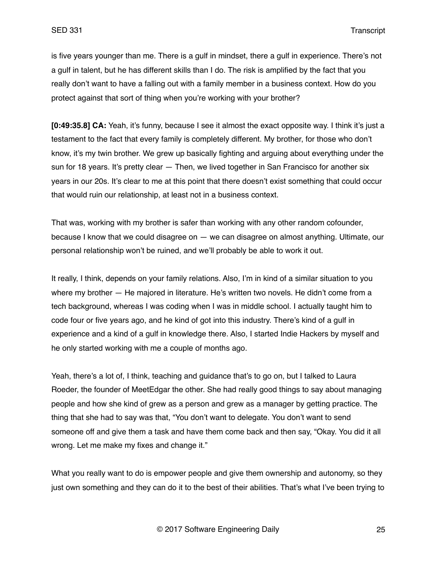is five years younger than me. There is a gulf in mindset, there a gulf in experience. There's not a gulf in talent, but he has different skills than I do. The risk is amplified by the fact that you really don't want to have a falling out with a family member in a business context. How do you protect against that sort of thing when you're working with your brother?

**[0:49:35.8] CA:** Yeah, it's funny, because I see it almost the exact opposite way. I think it's just a testament to the fact that every family is completely different. My brother, for those who don't know, it's my twin brother. We grew up basically fighting and arguing about everything under the sun for 18 years. It's pretty clear - Then, we lived together in San Francisco for another six years in our 20s. It's clear to me at this point that there doesn't exist something that could occur that would ruin our relationship, at least not in a business context.

That was, working with my brother is safer than working with any other random cofounder, because I know that we could disagree on — we can disagree on almost anything. Ultimate, our personal relationship won't be ruined, and we'll probably be able to work it out.

It really, I think, depends on your family relations. Also, I'm in kind of a similar situation to you where my brother — He majored in literature. He's written two novels. He didn't come from a tech background, whereas I was coding when I was in middle school. I actually taught him to code four or five years ago, and he kind of got into this industry. There's kind of a gulf in experience and a kind of a gulf in knowledge there. Also, I started Indie Hackers by myself and he only started working with me a couple of months ago.

Yeah, there's a lot of, I think, teaching and guidance that's to go on, but I talked to Laura Roeder, the founder of MeetEdgar the other. She had really good things to say about managing people and how she kind of grew as a person and grew as a manager by getting practice. The thing that she had to say was that, "You don't want to delegate. You don't want to send someone off and give them a task and have them come back and then say, "Okay. You did it all wrong. Let me make my fixes and change it."

What you really want to do is empower people and give them ownership and autonomy, so they just own something and they can do it to the best of their abilities. That's what I've been trying to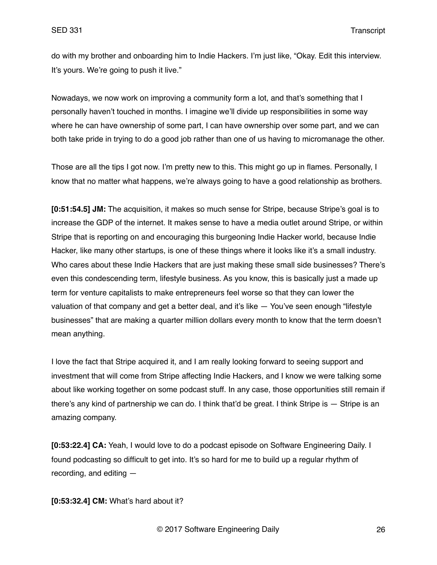do with my brother and onboarding him to Indie Hackers. I'm just like, "Okay. Edit this interview. It's yours. We're going to push it live."

Nowadays, we now work on improving a community form a lot, and that's something that I personally haven't touched in months. I imagine we'll divide up responsibilities in some way where he can have ownership of some part, I can have ownership over some part, and we can both take pride in trying to do a good job rather than one of us having to micromanage the other.

Those are all the tips I got now. I'm pretty new to this. This might go up in flames. Personally, I know that no matter what happens, we're always going to have a good relationship as brothers.

**[0:51:54.5] JM:** The acquisition, it makes so much sense for Stripe, because Stripe's goal is to increase the GDP of the internet. It makes sense to have a media outlet around Stripe, or within Stripe that is reporting on and encouraging this burgeoning Indie Hacker world, because Indie Hacker, like many other startups, is one of these things where it looks like it's a small industry. Who cares about these Indie Hackers that are just making these small side businesses? There's even this condescending term, lifestyle business. As you know, this is basically just a made up term for venture capitalists to make entrepreneurs feel worse so that they can lower the valuation of that company and get a better deal, and it's like — You've seen enough "lifestyle businesses" that are making a quarter million dollars every month to know that the term doesn't mean anything.

I love the fact that Stripe acquired it, and I am really looking forward to seeing support and investment that will come from Stripe affecting Indie Hackers, and I know we were talking some about like working together on some podcast stuff. In any case, those opportunities still remain if there's any kind of partnership we can do. I think that'd be great. I think Stripe is — Stripe is an amazing company.

**[0:53:22.4] CA:** Yeah, I would love to do a podcast episode on Software Engineering Daily. I found podcasting so difficult to get into. It's so hard for me to build up a regular rhythm of recording, and editing —

**[0:53:32.4] CM:** What's hard about it?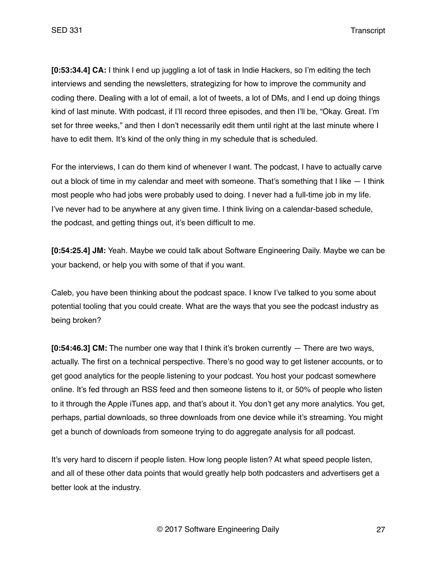**[0:53:34.4] CA:** I think I end up juggling a lot of task in Indie Hackers, so I'm editing the tech interviews and sending the newsletters, strategizing for how to improve the community and coding there. Dealing with a lot of email, a lot of tweets, a lot of DMs, and I end up doing things kind of last minute. With podcast, if I'll record three episodes, and then I'll be, "Okay. Great. I'm set for three weeks," and then I don't necessarily edit them until right at the last minute where I have to edit them. It's kind of the only thing in my schedule that is scheduled.

For the interviews, I can do them kind of whenever I want. The podcast, I have to actually carve out a block of time in my calendar and meet with someone. That's something that I like — I think most people who had jobs were probably used to doing. I never had a full-time job in my life. I've never had to be anywhere at any given time. I think living on a calendar-based schedule, the podcast, and getting things out, it's been difficult to me.

**[0:54:25.4] JM:** Yeah. Maybe we could talk about Software Engineering Daily. Maybe we can be your backend, or help you with some of that if you want.

Caleb, you have been thinking about the podcast space. I know I've talked to you some about potential tooling that you could create. What are the ways that you see the podcast industry as being broken?

**[0:54:46.3] CM:** The number one way that I think it's broken currently — There are two ways, actually. The first on a technical perspective. There's no good way to get listener accounts, or to get good analytics for the people listening to your podcast. You host your podcast somewhere online. It's fed through an RSS feed and then someone listens to it, or 50% of people who listen to it through the Apple iTunes app, and that's about it. You don't get any more analytics. You get, perhaps, partial downloads, so three downloads from one device while it's streaming. You might get a bunch of downloads from someone trying to do aggregate analysis for all podcast.

It's very hard to discern if people listen. How long people listen? At what speed people listen, and all of these other data points that would greatly help both podcasters and advertisers get a better look at the industry.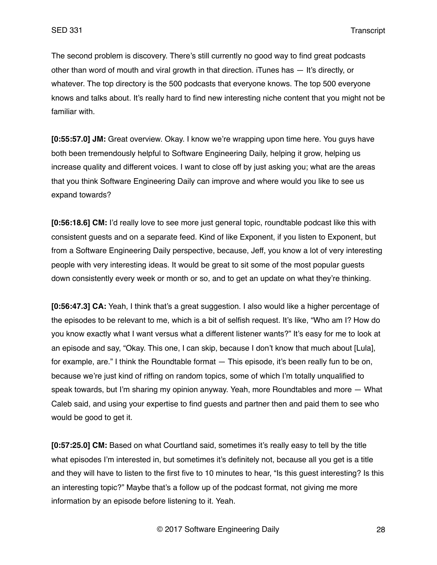The second problem is discovery. There's still currently no good way to find great podcasts other than word of mouth and viral growth in that direction. iTunes has — It's directly, or whatever. The top directory is the 500 podcasts that everyone knows. The top 500 everyone knows and talks about. It's really hard to find new interesting niche content that you might not be familiar with.

**[0:55:57.0] JM:** Great overview. Okay. I know we're wrapping upon time here. You guys have both been tremendously helpful to Software Engineering Daily, helping it grow, helping us increase quality and different voices. I want to close off by just asking you; what are the areas that you think Software Engineering Daily can improve and where would you like to see us expand towards?

**[0:56:18.6] CM:** I'd really love to see more just general topic, roundtable podcast like this with consistent guests and on a separate feed. Kind of like Exponent, if you listen to Exponent, but from a Software Engineering Daily perspective, because, Jeff, you know a lot of very interesting people with very interesting ideas. It would be great to sit some of the most popular guests down consistently every week or month or so, and to get an update on what they're thinking.

**[0:56:47.3] CA:** Yeah, I think that's a great suggestion. I also would like a higher percentage of the episodes to be relevant to me, which is a bit of selfish request. It's like, "Who am I? How do you know exactly what I want versus what a different listener wants?" It's easy for me to look at an episode and say, "Okay. This one, I can skip, because I don't know that much about [Lula], for example, are." I think the Roundtable format — This episode, it's been really fun to be on, because we're just kind of riffing on random topics, some of which I'm totally unqualified to speak towards, but I'm sharing my opinion anyway. Yeah, more Roundtables and more — What Caleb said, and using your expertise to find guests and partner then and paid them to see who would be good to get it.

**[0:57:25.0] CM:** Based on what Courtland said, sometimes it's really easy to tell by the title what episodes I'm interested in, but sometimes it's definitely not, because all you get is a title and they will have to listen to the first five to 10 minutes to hear, "Is this guest interesting? Is this an interesting topic?" Maybe that's a follow up of the podcast format, not giving me more information by an episode before listening to it. Yeah.